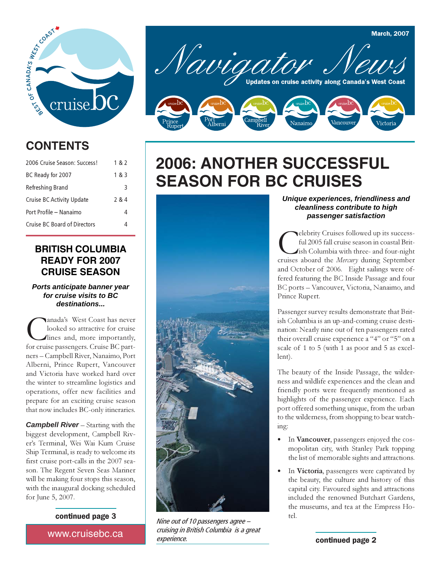

## **CONTENTS**

| 2006 Cruise Season: Success! | 182   |
|------------------------------|-------|
| BC Ready for 2007            | 1 & 3 |
| Refreshing Brand             | 3     |
| Cruise BC Activity Update    | 2 & 4 |
| Port Profile – Nanaimo       | 4     |
| Cruise BC Board of Directors | Δ     |

### **BRITISH COLUMBIA READY FOR 2007 CRUISE SEASON**

#### *Ports anticipate banner year for cruise visits to BC destinations...*

Canada's West Coast has never<br>looked so attractive for cruise<br>for cruise passengers. Cruise BC partlooked so attractive for cruise lines and, more importantly, ners – Campbell River, Nanaimo, Port Alberni, Prince Rupert, Vancouver and Victoria have worked hard over the winter to streamline logistics and operations, offer new facilities and prepare for an exciting cruise season that now includes BC-only itineraries.

*Campbell River* – Starting with the biggest development, Campbell River's Terminal, Wei Wai Kum Cruise Ship Terminal, is ready to welcome its first cruise port-calls in the 2007 season. The Regent Seven Seas Mariner will be making four stops this season, with the inaugural docking scheduled for June 5, 2007.

#### continued page 3

www.cruisebc.ca *www.cruisebc.ca* 



## **2006: ANOTHER SUCCESSFUL SEASON FOR BC CRUISES**

### *Unique experiences, friendliness and cleanliness contribute to high passenger satisfaction*

**C**elebrity Cruises followed up its success-<br>ful 2005 fall cruise season in coastal Brit-<br>ish Columbia with three- and four-night<br>cruises aboard the Mercury during September ful 2005 fall cruise season in coastal British Columbia with three- and four-night and October of 2006. Eight sailings were offered featuring the BC Inside Passage and four BC ports – Vancouver, Victoria, Nanaimo, and Prince Rupert.

Passenger survey results demonstrate that British Columbia is an up-and-coming cruise destination: Nearly nine out of ten passengers rated their overall cruise experience a "4" or "5" on a scale of 1 to 5 (with 1 as poor and 5 as excellent).

The beauty of the Inside Passage, the wilderness and wildlife experiences and the clean and friendly ports were frequently mentioned as highlights of the passenger experience. Each port offered something unique, from the urban to the wilderness, from shopping to bear watching:

- In Vancouver, passengers enjoyed the cosmopolitan city, with Stanley Park topping the list of memorable sights and attractions.
- In Victoria, passengers were captivated by the beauty, the culture and history of this capital city. Favoured sights and attractions included the renowned Butchart Gardens, the museums, and tea at the Empress Hotel.

Nine out of 10 passengers agree – cruising in British Columbia is a great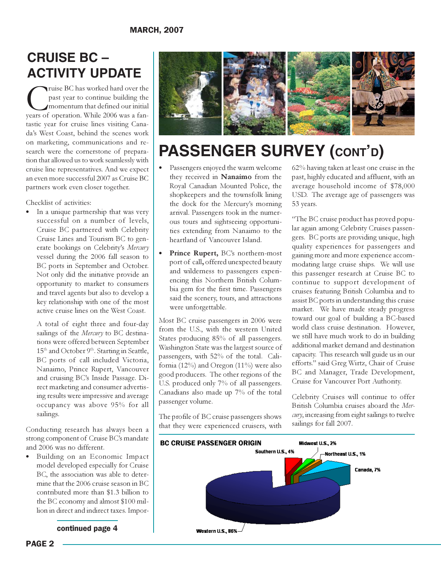## **CRUISE BC – ACTIVITY UPDATE**

Truise BC has worked hard over the past year to continue building the momentum that defined our initial years of operation. While 2006 was a fanpast year to continue building the momentum that defined our initial tastic year for cruise lines visiting Canada's West Coast, behind the scenes work on marketing, communications and research were the cornerstone of preparation that allowed us to work seamlessly with cruise line representatives. And we expect an even more successful 2007 as Cruise BC partners work even closer together.

Checklist of activities:

 In a unique partnership that was very successful on a number of levels, Cruise BC partnered with Celebrity Cruise Lines and Tourism BC to generate bookings on Celebrity's Mercury vessel during the 2006 fall season to BC ports in September and October. Not only did the initiative provide an opportunity to market to consumers and travel agents but also to develop a key relationship with one of the most active cruise lines on the West Coast.

A total of eight three and four-day sailings of the Mercury to BC destinations were offered between September 15<sup>th</sup> and October 9<sup>th</sup>. Starting in Seattle, BC ports of call included Victoria, Nanaimo, Prince Rupert, Vancouver and cruising BC's Inside Passage. Direct marketing and consumer advertising results were impressive and average occupancy was above 95% for all sailings.

Conducting research has always been a strong component of Cruise BC's mandate and 2006 was no different.

 Building on an Economic Impact model developed especially for Cruise BC, the association was able to determine that the 2006 cruise season in BC contributed more than \$1.3 billion to the BC economy and almost \$100 million in direct and indirect taxes. Impor-

continued page 4



# **PASSENGER SURVEY (CONT'D)**

- Passengers enjoyed the warm welcome they received in Nanaimo from the Royal Canadian Mounted Police, the shopkeepers and the townsfolk lining the dock for the Mercury's morning arrival. Passengers took in the numerous tours and sightseeing opportunities extending from Nanaimo to the heartland of Vancouver Island.
- Prince Rupert, BC's northern-most port of call, offered unexpected beauty and wilderness to passengers experiencing this Northern British Columbia gem for the first time. Passengers said the scenery, tours, and attractions were unforgettable.

Most BC cruise passengers in 2006 were from the U.S., with the western United States producing 85% of all passengers. Washington State was the largest source of passengers, with 52% of the total. California (12%) and Oregon (11%) were also good producers. The other regions of the U.S. produced only 7% of all passengers. Canadians also made up 7% of the total passenger volume.

The profile of BC cruise passengers shows that they were experienced cruisers, with

62% having taken at least one cruise in the past, highly educated and affluent, with an average household income of \$78,000 USD. The average age of passengers was 53 years.

"The BC cruise product has proved popular again among Celebrity Cruises passengers. BC ports are providing unique, high quality experiences for passengers and gaining more and more experience accommodating large cruise ships. We will use this passenger research at Cruise BC to continue to support development of cruises featuring British Columbia and to assist BC ports in understanding this cruise market. We have made steady progress toward our goal of building a BC-based world class cruise destination. However, we still have much work to do in building additional market demand and destination capacity. This research will guide us in our efforts." said Greg Wirtz, Chair of Cruise BC and Manager, Trade Development, Cruise for Vancouver Port Authority.

Celebrity Cruises will continue to offer British Columbia cruises aboard the Mercury, increasing from eight sailings to twelve sailings for fall 2007.

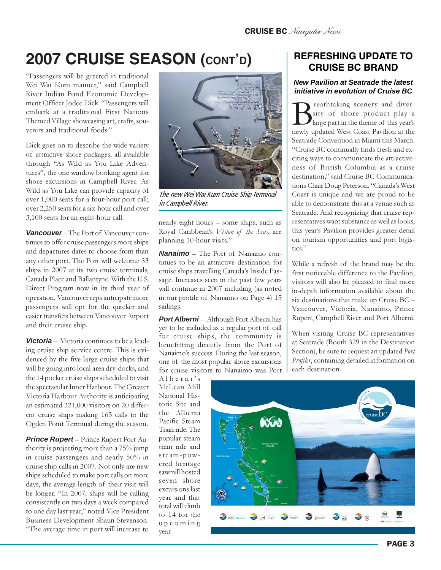# **2007 CRUISE SEASON (CONT'D)**

"Passengers will be greeted in traditional Wei Wai Kum manner," said Campbell River Indian Band Economic Development Officer Jodee Dick. "Passengers will embark at a traditional First Nations Themed Village showcasing art, crafts, souvenirs and traditional foods."

Dick goes on to describe the wide variety of attractive shore packages, all available through "As Wild as You Like Adventures", the one window booking agent for shore excursions in Campbell River. As Wild as You Like can provide capacity of over 1,000 seats for a four-hour port call; over 2,250 seats for a six-hour call and over 3,100 seats for an eight-hour call.

*Vancouver* – The Port of Vancouver continues to offer cruise passengers more ships and departures dates to choose from than any other port. The Port will welcome 33 ships in 2007 at its two cruise terminals, Canada Place and Ballantyne. With the U.S. Direct Program now in its third year of operation, Vancouver reps anticipate more passengers will opt for the quicker and easier transfers between Vancouver Airport and their cruise ship.

*Victoria* – Victoria continues to be a leading cruise ship service centre. This is evidenced by the five large cruise ships that will be going into local area dry-docks, and the 14 pocket cruise ships scheduled to visit the spectacular Inner Harbour. The Greater Victoria Harbour Authority is anticipating an estimated 324,000 visitors on 20 different cruise ships making 163 calls to the Ogden Point Terminal during the season.

*Prince Rupert* – Prince Rupert Port Authority is projecting more than a 75% jump in cruise passengers and nearly 50% in cruise ship calls in 2007. Not only are new ships scheduled to make port calls on more days, the average length of their visit will be longer. "In 2007, ships will be calling consistently on two days a week compared to one day last year," noted Vice President Business Development Shaun Stevenson. "The average time in port will increase to



The new Wei Wai Kum Cruise Ship Terminal in Campbell River.

nearly eight hours – some ships, such as Royal Caribbean's Vision of the Seas, are planning 10-hour visits."

*Nanaimo* – The Port of Nanaimo continues to be an attractive destination for cruise ships travelling Canada's Inside Passage. Increases seen in the past few years will continue in 2007 including (as noted in our profile of Nanaimo on Page 4) 15 sailings.

**Port Alberni** – Although Port Alberni has yet to be included as a regular port of call for cruise ships, the community is benefitting directly from the Port of Nanaimo's success. During the last season, one of the most popular shore excursions for cruise visitors to Nanaimo was Port

Alberni's McLean Mill National Historic Site and the Alberni Pacific Steam Train ride. The popular steam train ride and steam-powered heritage sawmill hosted seven shore excursions last year and that total will climb to 14 for the upcoming year.

## **REFRESHING UPDATE TO CRUISE BC BRAND**

#### *New Pavilion at Seatrade the latest initiative in evolution of Cruise BC*

**B**reathtaking scenery and diver-<br>large part in the theme of this year's<br>newly updated West Coast Pavilion at the sity of shore product play a large part in the theme of this year's Seatrade Convention in Miami this March. "Cruise BC continually finds fresh and exciting ways to communicate the attractiveness of British Columbia as a cruise destination," said Cruise BC Communications Chair Doug Peterson. "Canada's West Coast is unique and we are proud to be able to demonstrate this at a venue such as Seatrade. And recognizing that cruise representatives want substance as well as looks, this year's Pavilion provides greater detail on tourism opportunities and port logistics."

While a refresh of the brand may be the first noticeable difference to the Pavilion, visitors will also be pleased to find more in-depth information available about the six destinations that make up Cruise BC – Vancouver, Victoria, Nanaimo, Prince Rupert, Campbell River and Port Alberni.

When visiting Cruise BC representatives at Seatrade (Booth 329 in the Destination Section), be sure to request an updated Port Profiler, containing detailed information on each destination.